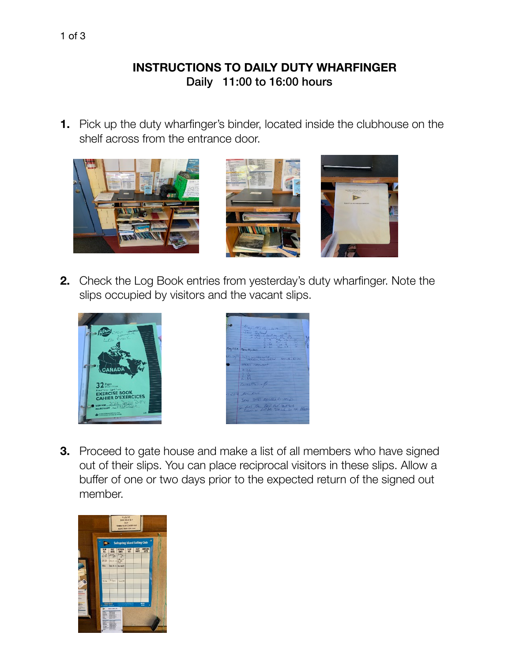## **INSTRUCTIONS TO DAILY DUTY WHARFINGER** Daily 11:00 to 16:00 hours

**1.** Pick up the duty wharfinger's binder, located inside the clubhouse on the shelf across from the entrance door.



**2.** Check the Log Book entries from yesterday's duty wharfinger. Note the slips occupied by visitors and the vacant slips.





**3.** Proceed to gate house and make a list of all members who have signed out of their slips. You can place reciprocal visitors in these slips. Allow a buffer of one or two days prior to the expected return of the signed out member.

![](_page_0_Picture_7.jpeg)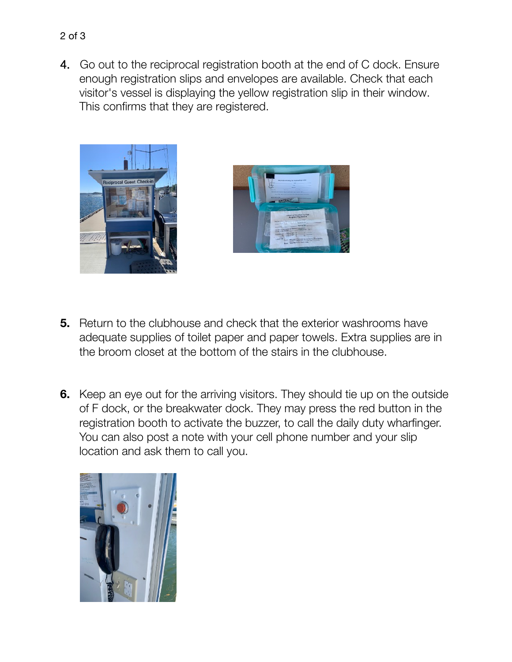4. Go out to the reciprocal registration booth at the end of C dock. Ensure enough registration slips and envelopes are available. Check that each visitor's vessel is displaying the yellow registration slip in their window. This confirms that they are registered.

![](_page_1_Picture_1.jpeg)

![](_page_1_Picture_2.jpeg)

- **5.** Return to the clubhouse and check that the exterior washrooms have adequate supplies of toilet paper and paper towels. Extra supplies are in the broom closet at the bottom of the stairs in the clubhouse.
- **6.** Keep an eye out for the arriving visitors. They should tie up on the outside of F dock, or the breakwater dock. They may press the red button in the registration booth to activate the buzzer, to call the daily duty wharfinger. You can also post a note with your cell phone number and your slip location and ask them to call you.

![](_page_1_Picture_5.jpeg)